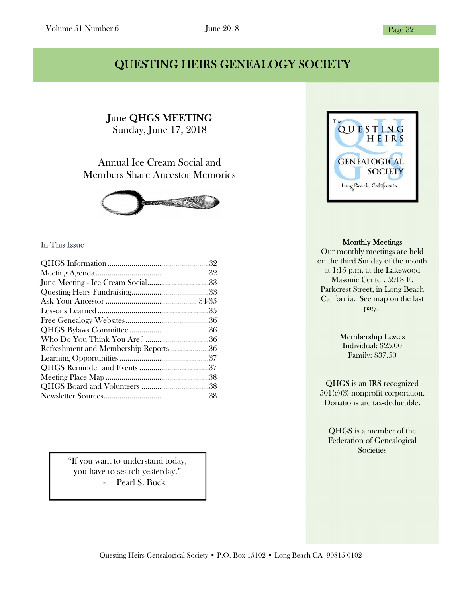### QUESTING HEIRS GENEALOGY SOCIETY

June QHGS MEETING Sunday, June 17, 2018

Ĩ

Annual Ice Cream Social and Members Share Ancestor Memories



#### In This Issue

| June Meeting - Ice Cream Social33     |  |
|---------------------------------------|--|
|                                       |  |
|                                       |  |
|                                       |  |
|                                       |  |
|                                       |  |
|                                       |  |
| Refreshment and Membership Reports 36 |  |
|                                       |  |
|                                       |  |
|                                       |  |
|                                       |  |
|                                       |  |
|                                       |  |

"If you want to understand today, you have to search yesterday." - Pearl S. Buck



#### Monthly Meetings

Our monthly meetings are held on the third Sunday of the month at 1:15 p.m. at the Lakewood Masonic Center, 5918 E. Parkcrest Street, in Long Beach California. See map on the last page.

#### Membership Levels

Individual: \$25.00 Family: \$37.50

QHGS is an IRS recognized 501(c)(3) nonprofit corporation. Donations are tax-deductible.

QHGS is a member of the Federation of Genealogical **Societies**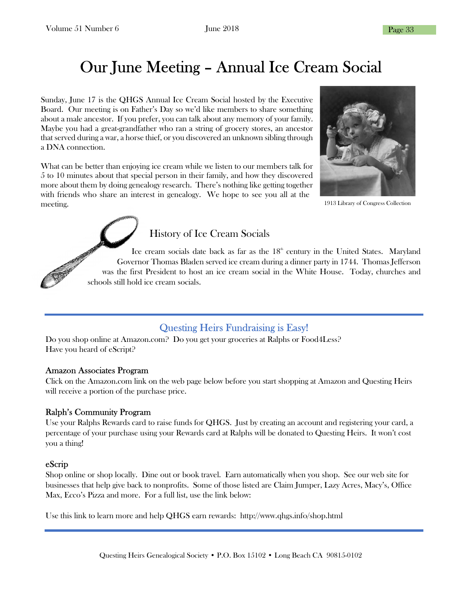# Our June Meeting – Annual Ice Cream Social

Sunday, June 17 is the QHGS Annual Ice Cream Social hosted by the Executive Board. Our meeting is on Father's Day so we'd like members to share something about a male ancestor. If you prefer, you can talk about any memory of your family. Maybe you had a great-grandfather who ran a string of grocery stores, an ancestor that served during a war, a horse thief, or you discovered an unknown sibling through a DNA connection.

What can be better than enjoying ice cream while we listen to our members talk for 5 to 10 minutes about that special person in their family, and how they discovered more about them by doing genealogy research. There's nothing like getting together with friends who share an interest in genealogy. We hope to see you all at the meeting.



1913 Library of Congress Collection



Ice cream socials date back as far as the  $18<sup>th</sup>$  century in the United States. Maryland Governor Thomas Bladen served ice cream during a dinner party in 1744. Thomas Jefferson was the first President to host an ice cream social in the White House. Today, churches and schools still hold ice cream socials.

### Questing Heirs Fundraising is Easy!

Do you shop online at Amazon.com? Do you get your groceries at Ralphs or Food4Less? Have you heard of eScript?

#### Amazon Associates Program

Click on the Amazon.com link on the web page below before you start shopping at Amazon and Questing Heirs will receive a portion of the purchase price.

#### Ralph's Community Program

Use your Ralphs Rewards card to raise funds for QHGS. Just by creating an account and registering your card, a percentage of your purchase using your Rewards card at Ralphs will be donated to Questing Heirs. It won't cost you a thing!

#### eScrip

Shop online or shop locally. Dine out or book travel. Earn automatically when you shop. See our web site for businesses that help give back to nonprofits. Some of those listed are Claim Jumper, Lazy Acres, Macy's, Office Max, Ecco's Pizza and more. For a full list, use the link below:

Use this link to learn more and help QHGS earn rewards: http://www.qhgs.info/shop.html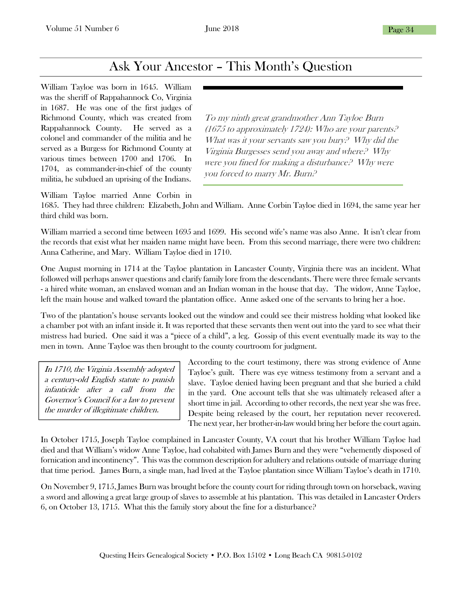### Ask Your Ancestor – This Month's Question

William Tayloe was born in 1645. William was the sheriff of Rappahannock Co, Virginia in 1687. He was one of the first judges of Richmond County, which was created from Rappahannock County. He served as a colonel and commander of the militia and he served as a Burgess for Richmond County at various times between 1700 and 1706. In 1704, as commander-in-chief of the county militia, he subdued an uprising of the Indians.

To my ninth great grandmother Ann Tayloe Burn (1675 to approximately 1724): Who are your parents? What was it your servants saw you bury? Why did the Virginia Burgesses send you away and where? Why were you fined for making a disturbance? Why were you forced to marry Mr. Burn?

William Tayloe married Anne Corbin in

1685. They had three children: Elizabeth, John and William. Anne Corbin Tayloe died in 1694, the same year her third child was born.

William married a second time between 1695 and 1699. His second wife's name was also Anne. It isn't clear from the records that exist what her maiden name might have been. From this second marriage, there were two children: Anna Catherine, and Mary. William Tayloe died in 1710.

One August morning in 1714 at the Tayloe plantation in Lancaster County, Virginia there was an incident. What followed will perhaps answer questions and clarify family lore from the descendants. There were three female servants - a hired white woman, an enslaved woman and an Indian woman in the house that day. The widow, Anne Tayloe, left the main house and walked toward the plantation office. Anne asked one of the servants to bring her a hoe.

Two of the plantation's house servants looked out the window and could see their mistress holding what looked like a chamber pot with an infant inside it. It was reported that these servants then went out into the yard to see what their mistress had buried. One said it was a "piece of a child", a leg. Gossip of this event eventually made its way to the men in town. Anne Tayloe was then brought to the county courtroom for judgment.

In 1710, the Virginia Assembly adopted a century-old English statute to punish infanticide after a call from the Governor's Council for a law to prevent the murder of illegitimate children.

According to the court testimony, there was strong evidence of Anne Tayloe's guilt. There was eye witness testimony from a servant and a slave. Tayloe denied having been pregnant and that she buried a child in the yard. One account tells that she was ultimately released after a short time in jail. According to other records, the next year she was free. Despite being released by the court, her reputation never recovered. The next year, her brother-in-law would bring her before the court again.

In October 1715, Joseph Tayloe complained in Lancaster County, VA court that his brother William Tayloe had died and that William's widow Anne Tayloe, had cohabited with James Burn and they were "vehemently disposed of fornication and incontinency". This was the common description for adultery and relations outside of marriage during that time period. James Burn, a single man, had lived at the Tayloe plantation since William Tayloe's death in 1710.

On November 9, 1715, James Burn was brought before the county court for riding through town on horseback, waving a sword and allowing a great large group of slaves to assemble at his plantation. This was detailed in Lancaster Orders 6, on October 13, 1715. What this the family story about the fine for a disturbance?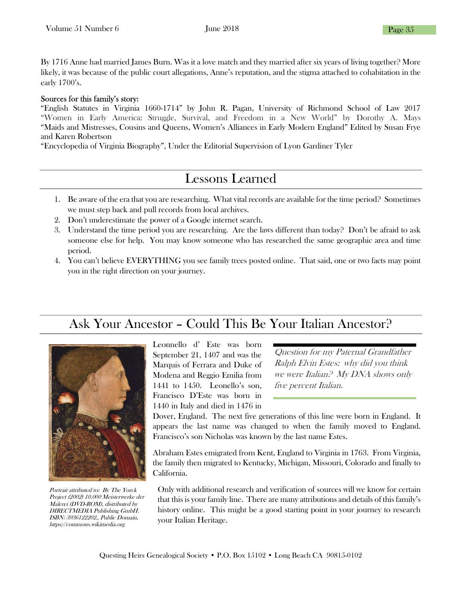By 1716 Anne had married James Burn. Was it a love match and they married after six years of living together? More likely, it was because of the public court allegations, Anne's reputation, and the stigma attached to cohabitation in the early 1700's.

#### Sources for this family's story:

"English Statutes in Virginia 1660-1714" by John R. Pagan, University of Richmond School of Law 2017 "Women in Early America: Struggle, Survival, and Freedom in a New World" by Dorothy A. Mays "Maids and Mistresses, Cousins and Queens, Women's Alliances in Early Modern England" Edited by Susan Frye and Karen Robertson

"Encyclopedia of Virginia Biography", Under the Editorial Supervision of Lyon Gardiner Tyler

## Lessons Learned

- 1. Be aware of the era that you are researching. What vital records are available for the time period? Sometimes we must step back and pull records from local archives.
- 2. Don't underestimate the power of a Google internet search.
- 3. Understand the time period you are researching. Are the laws different than today? Don't be afraid to ask someone else for help. You may know someone who has researched the same geographic area and time period.
- 4. You can't believe EVERYTHING you see family trees posted online. That said, one or two facts may point you in the right direction on your journey.

## Ask Your Ancestor – Could This Be Your Italian Ancestor?



Portrait attributed to: By The Yorck Project (2002) 10.000 Meisterwerke der Malerei (DVD-ROM), distributed by DIRECTMEDIA Publishing GmbH. ISBN: 3936122202., Public Domain, https://commons.wikimedia.org

Leonnello d' Este was born September 21, 1407 and was the Marquis of Ferrara and Duke of Modena and Reggio Emilia from 1441 to 1450. Leonello's son, Francisco D'Este was born in 1440 in Italy and died in 1476 in

Question for my Paternal Grandfather Ralph Elvin Estes: why did you think we were Italian? My DNA shows only five percent Italian.

Dover, England. The next five generations of this line were born in England. It appears the last name was changed to when the family moved to England. Francisco's son Nicholas was known by the last name Estes.

Abraham Estes emigrated from Kent, England to Virginia in 1763. From Virginia, the family then migrated to Kentucky, Michigan, Missouri, Colorado and finally to California.

Only with additional research and verification of sources will we know for certain that this is your family line. There are many attributions and details of this family's history online. This might be a good starting point in your journey to research your Italian Heritage.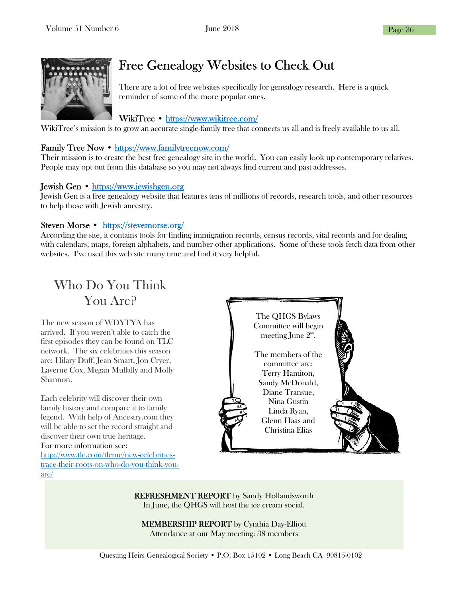

## Free Genealogy Websites to Check Out

There are a lot of free websites specifically for genealogy research. Here is a quick reminder of some of the more popular ones.

#### WikiTree • https://www.wikitree.com/

WikiTree's mission is to grow an accurate single-family tree that connects us all and is freely available to us all.

#### Family Tree Now • https://www.familytreenow.com/

Their mission is to create the best free genealogy site in the world. You can easily look up contemporary relatives. People may opt out from this database so you may not always find current and past addresses.

#### Jewish Gen • https://www.jewishgen.org

Jewish Gen is a free genealogy website that features tens of millions of records, research tools, and other resources to help those with Jewish ancestry.

#### Steven Morse • https://stevemorse.org/

According the site, it contains tools for finding immigration records, census records, vital records and for dealing with calendars, maps, foreign alphabets, and number other applications. Some of these tools fetch data from other websites. I've used this web site many time and find it very helpful.

Who Do You Think You Are?

The new season of WDYTYA has arrived. If you weren't able to catch the first episodes they can be found on TLC network. The six celebrities this season are: Hilary Duff, Jean Smart, Jon Cryer, Laverne Cox, Megan Mullally and Molly Shannon.

Each celebrity will discover their own family history and compare it to family legend. With help of Ancestry.com they will be able to set the record straight and discover their own true heritage. For more information see:

http://www.tlc.com/tlcme/new-celebritiestrace-their-roots-on-who-do-you-think-youare/



REFRESHMENT REPORT by Sandy Hollandsworth In June, the QHGS will host the ice cream social.

MEMBERSHIP REPORT by Cynthia Day-Elliott Attendance at our May meeting: 38 members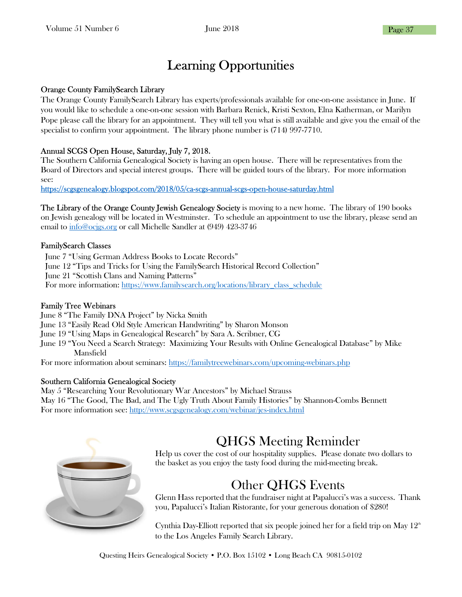## Learning Opportunities

#### Orange County FamilySearch Library

The Orange County FamilySearch Library has experts/professionals available for one-on-one assistance in June. If you would like to schedule a one-on-one session with Barbara Renick, Kristi Sexton, Elna Katherman, or Marilyn Pope please call the library for an appointment. They will tell you what is still available and give you the email of the specialist to confirm your appointment. The library phone number is (714) 997-7710.

#### Annual SCGS Open House, Saturday, July 7, 2018.

The Southern California Genealogical Society is having an open house. There will be representatives from the Board of Directors and special interest groups. There will be guided tours of the library. For more information see:

https://scgsgenealogy.blogspot.com/2018/05/ca-scgs-annual-scgs-open-house-saturday.html

The Library of the Orange County Jewish Genealogy Society is moving to a new home. The library of 190 books on Jewish genealogy will be located in Westminster. To schedule an appointment to use the library, please send an email to info@ocjgs.org or call Michelle Sandler at (949) 423-3746

#### FamilySearch Classes

June 7 "Using German Address Books to Locate Records" June 12 "Tips and Tricks for Using the FamilySearch Historical Record Collection" June 21 "Scottish Clans and Naming Patterns" For more information: https://www.familysearch.org/locations/library\_class\_schedule

#### Family Tree Webinars

June 8 "The Family DNA Project" by Nicka Smith June 13 "Easily Read Old Style American Handwriting" by Sharon Monson June 19 "Using Maps in Genealogical Research" by Sara A. Scribner, CG June 19 "You Need a Search Strategy: Maximizing Your Results with Online Genealogical Database" by Mike

 Mansfield For more information about seminars: https://familytreewebinars.com/upcoming-webinars.php

#### Southern California Genealogical Society

May 5 "Researching Your Revolutionary War Ancestors" by Michael Strauss May 16 "The Good, The Bad, and The Ugly Truth About Family Histories" by Shannon-Combs Bennett For more information see: http://www.scgsgenealogy.com/webinar/jes-index.html



## QHGS Meeting Reminder

Help us cover the cost of our hospitality supplies. Please donate two dollars to the basket as you enjoy the tasty food during the mid-meeting break.

### Other QHGS Events

Glenn Hass reported that the fundraiser night at Papalucci's was a success. Thank you, Papalucci's Italian Ristorante, for your generous donation of \$280!

Cynthia Day-Elliott reported that six people joined her for a field trip on May  $12<sup>th</sup>$ to the Los Angeles Family Search Library.

Questing Heirs Genealogical Society • P.O. Box 15102 • Long Beach CA 90815-0102